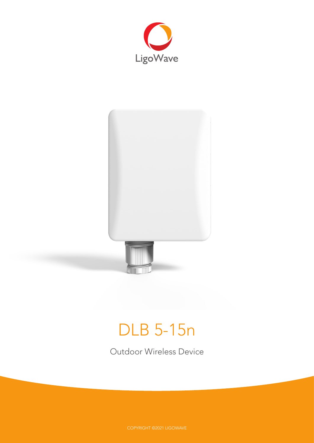



# DLB 5-15n

Outdoor Wireless Device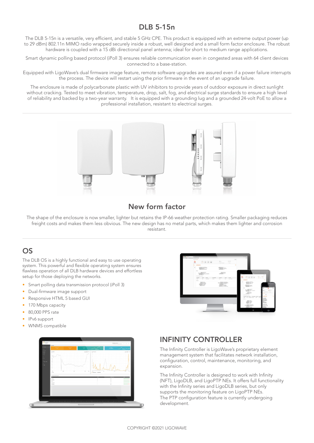## DLB 5-15n

The DLB 5-15n is a versatile, very efficient, and stable 5 GHz CPE. This product is equipped with an extreme output power (up to 29 dBm) 802.11n MIMO radio wrapped securely inside a robust, well designed and a small form factor enclosure. The robust hardware is coupled with a 15 dBi directional panel antenna; ideal for short to medium range applications.

Smart dynamic polling based protocol (iPoll 3) ensures reliable communication even in congested areas with 64 client devices connected to a base-station.

Equipped with LigoWave's dual firmware image feature, remote software upgrades are assured even if a power failure interrupts the process. The device will restart using the prior firmware in the event of an upgrade failure.

The enclosure is made of polycarbonate plastic with UV inhibitors to provide years of outdoor exposure in direct sunlight without cracking. Tested to meet vibration, temperature, drop, salt, fog, and electrical surge standards to ensure a high level of reliability and backed by a two-year warranty. It is equipped with a grounding lug and a grounded 24-volt PoE to allow a professional installation, resistant to electrical surges.



## New form factor

The shape of the enclosure is now smaller, lighter but retains the IP-66 weather protection rating. Smaller packaging reduces freight costs and makes them less obvious. The new design has no metal parts, which makes them lighter and corrosion resistant.

## OS

The DLB OS is a highly functional and easy to use operating system. This powerful and flexible operating system ensures flawless operation of all DLB hardware devices and effortless setup for those deploying the networks.

- Smart polling data transmission protocol (iPoll 3)
- Dual-firmware image support
- Responsive HTML 5 based GUI
- 170 Mbps capacity
- 80,000 PPS rate
- IPv6 support
- WNMS compatible





## INFINITY CONTROLLER

The Infinity Controller is LigoWave's proprietary element management system that facilitates network installation, configuration, control, maintenance, monitoring, and expansion.

The Infinity Controller is designed to work with Infinity (NFT), LigoDLB, and LigoPTP NEs. It offers full functionality with the Infinity series and LigoDLB series, but only supports the monitoring feature on LigoPTP NEs. The PTP configuration feature is currently undergoing development.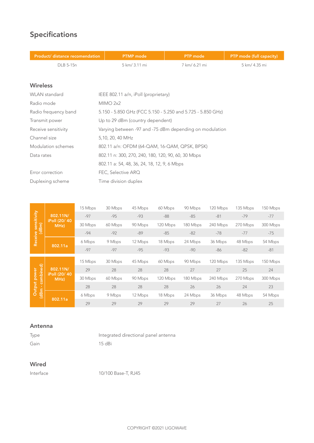## Specifications

| Product/ distance recomendation | <b>PTMP</b> mode                                            | <b>PTP</b> mode | PTP mode (full capacity) |  |
|---------------------------------|-------------------------------------------------------------|-----------------|--------------------------|--|
| DLB 5-15n                       | 5 km/ 3.11 mi                                               | 7 km/ 6.21 mi   | 5 km/ 4.35 mi            |  |
|                                 |                                                             |                 |                          |  |
| <b>Wireless</b>                 |                                                             |                 |                          |  |
| <b>WLAN</b> standard            | IEEE 802.11 a/n, iPoll (proprietary)                        |                 |                          |  |
| Radio mode                      | MIMO 2x2                                                    |                 |                          |  |
| Radio frequency band            | 5.150 - 5.850 GHz (FCC 5.150 - 5.250 and 5.725 - 5.850 GHz) |                 |                          |  |
| Transmit power                  | Up to 29 dBm (country dependent)                            |                 |                          |  |
| Receive sensitivity             | Varying between -97 and -75 dBm depending on modulation     |                 |                          |  |
| Channel size                    | 5,10, 20, 40 MHz                                            |                 |                          |  |
| Modulation schemes              | 802.11 a/n: OFDM (64-QAM, 16-QAM, QPSK, BPSK)               |                 |                          |  |
| Data rates                      | 802.11 n: 300, 270, 240, 180, 120, 90, 60, 30 Mbps          |                 |                          |  |
|                                 | 802.11 a: 54, 48, 36, 24, 18, 12, 9, 6 Mbps                 |                 |                          |  |
| Error correction                | FEC, Selective ARQ                                          |                 |                          |  |
| Duplexing scheme                | Time division duplex                                        |                 |                          |  |
|                                 |                                                             |                 |                          |  |
|                                 |                                                             |                 |                          |  |

| ve sensitivity<br>(dBm)<br><b>Receive</b> |                      | 15 Mbps | 30 Mbps | 45 Mbps | 60 Mbps  | 90 Mbps  | 120 Mbps | 135 Mbps | 150 Mbps |
|-------------------------------------------|----------------------|---------|---------|---------|----------|----------|----------|----------|----------|
|                                           | 802.11N/             | $-97$   | $-95$   | $-93$   | $-88$    | $-85$    | $-81$    | $-79$    | $-77$    |
|                                           | iPoll (20/40<br>MHz  | 30 Mbps | 60 Mbps | 90 Mbps | 120 Mbps | 180 Mbps | 240 Mbps | 270 Mbps | 300 Mbps |
|                                           |                      | $-94$   | $-92$   | $-89$   | $-85$    | $-82$    | $-78$    | $-77$    | $-75$    |
|                                           | 802.11a              | 6 Mbps  | 9 Mbps  | 12 Mbps | 18 Mbps  | 24 Mbps  | 36 Mbps  | 48 Mbps  | 54 Mbps  |
|                                           |                      | $-97$   | $-97$   | $-95$   | $-93$    | $-90$    | -86      | $-82$    | $-81$    |
|                                           |                      | 15 Mbps | 30 Mbps | 45 Mbps | 60 Mbps  | 90 Mbps  | 120 Mbps | 135 Mbps | 150 Mbps |
|                                           | 802.11N/             | 29      | 28      | 28      | 28       | 27       | 27       | 25       | 24       |
| combined)<br>power                        | iPoll (20/40<br>MHz) | 30 Mbps | 60 Mbps | 90 Mbps | 120 Mbps | 180 Mbps | 240 Mbps | 270 Mbps | 300 Mbps |
| Output                                    |                      |         |         |         |          |          |          |          |          |
|                                           |                      | 28      | 28      | 28      | 28       | 26       | 26       | 24       | 23       |
| (dBm)                                     | 802.11a              | 6 Mbps  | 9 Mbps  | 12 Mbps | 18 Mbps  | 24 Mbps  | 36 Mbps  | 48 Mbps  | 54 Mbps  |

#### Antenna

| Type | Integrated directional panel antenna |
|------|--------------------------------------|
| Gain | 15 dBi                               |

#### Wired

Interface 10/100 Base-T, RJ45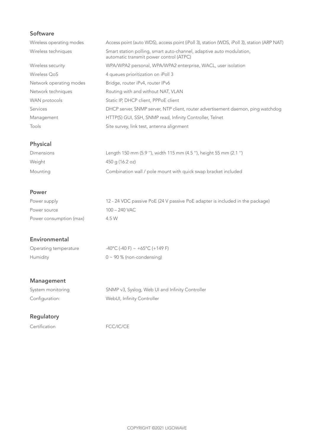### Software

| Wireless operating modes | Access point (auto WDS), access point (iPoll 3), station (WDS, iPoll 3), station (ARP NAT)                      |
|--------------------------|-----------------------------------------------------------------------------------------------------------------|
| Wireless techniques      | Smart station polling, smart auto-channel, adaptive auto modulation,<br>automatic transmit power control (ATPC) |
| Wireless security        | WPA/WPA2 personal, WPA/WPA2 enterprise, WACL, user isolation                                                    |
| Wireless OoS             | 4 queues prioritization on iPoll 3                                                                              |
| Network operating modes  | Bridge, router iPv4, router IPv6                                                                                |
| Network techniques       | Routing with and without NAT, VLAN                                                                              |
| WAN protocols            | Static IP, DHCP client, PPPoE client                                                                            |
| <b>Services</b>          | DHCP server, SNMP server, NTP client, router advertisement daemon, ping watchdog                                |
| Management               | HTTP(S) GUI, SSH, SNMP read, Infinity Controller, Telnet                                                        |
| Tools                    | Site survey, link test, antenna alignment                                                                       |

## **Physical**

| Dimensions | Length 150 mm (5.9 "), width 115 mm (4.5 "), height 55 mm (2.1 ") |
|------------|-------------------------------------------------------------------|
| Weight     | 450 g (16.2 oz)                                                   |
| Mounting   | Combination wall / pole mount with quick swap bracket included    |

#### **Power**

| Power supply            | 12 - 24 VDC passive PoE (24 V passive PoE adapter is included in the package) |
|-------------------------|-------------------------------------------------------------------------------|
| Power source            | 100 – 240 VAC                                                                 |
| Power consumption (max) | 4.5 W                                                                         |

#### Environmental

| Operating temperature | $-40^{\circ}$ C (-40 F) ~ +65 $^{\circ}$ C (+149 F) |
|-----------------------|-----------------------------------------------------|
| Humidity              | 0 ~ 90 % (non-condensing)                           |

## Management

| System monitoring | SNMP v3, Syslog, Web UI and Infinity Controller |
|-------------------|-------------------------------------------------|
| Configuration:    | WebUI, Infinity Controller                      |

## **Regulatory**

Certification FCC/IC/CE